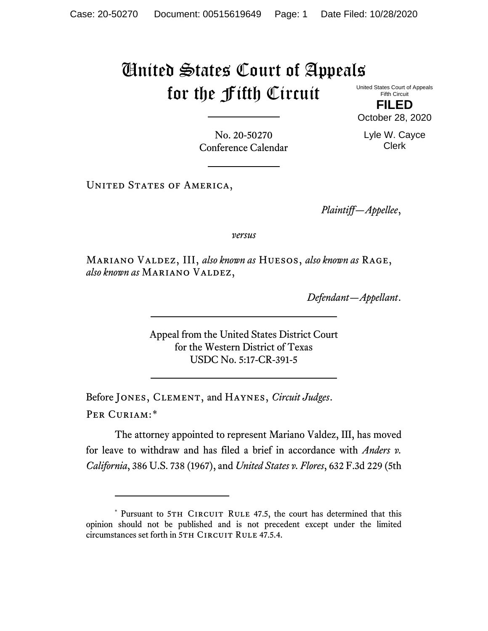## United States Court of Appeals for the Fifth Circuit United States Court of Appeals

Fifth Circuit **FILED**

Clerk

October 28, 2020 Lyle W. Cayce

No. 20-50270 Conference Calendar

UNITED STATES OF AMERICA,

*Plaintiff—Appellee*,

*versus*

Mariano Valdez, III, *also known as* Huesos, *also known as* Rage, also known as MARIANO VALDEZ,

*Defendant—Appellant*.

Appeal from the United States District Court for the Western District of Texas USDC No. 5:17-CR-391-5

Before Jones, Clement, and Haynes, *Circuit Judges*. Per Curiam:[\\*](#page-0-0)

The attorney appointed to represent Mariano Valdez, III, has moved for leave to withdraw and has filed a brief in accordance with *Anders v. California*, 386 U.S. 738 (1967), and *United States v. Flores*, 632 F.3d 229 (5th

<span id="page-0-0"></span><sup>\*</sup> Pursuant to 5TH CIRCUIT RULE 47.5, the court has determined that this opinion should not be published and is not precedent except under the limited circumstances set forth in 5TH CIRCUIT RULE 47.5.4.